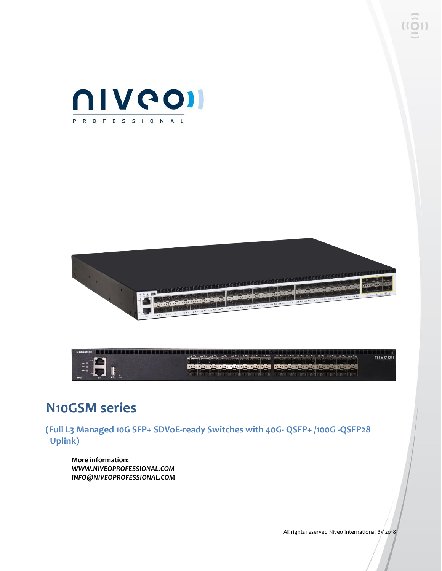





## **N10GSM series**

**(Full L3 Managed 10G SFP+ SDVoE-ready Switches with 40G- QSFP+ /100G -QSFP28 Uplink)**

**More information:** *WWW.NIVEOPROFESSIONAL.COM INFO@NIVEOPROFESSIONAL.COM*

All rights reserved Niveo International BV 2018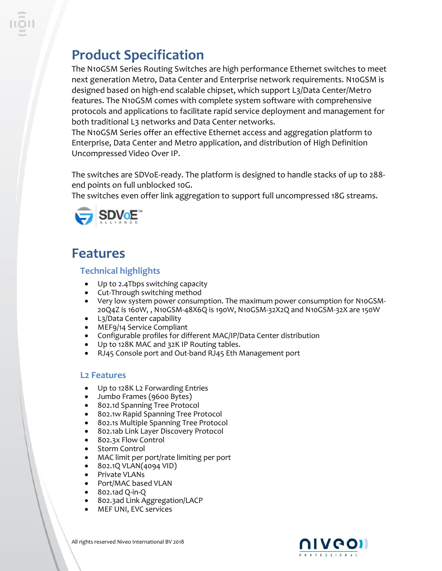# **Product Specification**

The N10GSM Series Routing Switches are high performance Ethernet switches to meet next generation Metro, Data Center and Enterprise network requirements. N10GSM is designed based on high-end scalable chipset, which support L3/Data Center/Metro features. The N10GSM comes with complete system software with comprehensive protocols and applications to facilitate rapid service deployment and management for both traditional L3 networks and Data Center networks.

The N10GSM Series offer an effective Ethernet access and aggregation platform to Enterprise, Data Center and Metro application, and distribution of High Definition Uncompressed Video Over IP.

The switches are SDVoE-ready. The platform is designed to handle stacks of up to 288 end points on full unblocked 10G.

The switches even offer link aggregation to support full uncompressed 18G streams.



# **Features**

## **Technical highlights**

- Up to 2.4Tbps switching capacity
- Cut-Through switching method
- Very low system power consumption. The maximum power consumption for N10GSM-20Q4Z is 160W, , N10GSM-48X6Q is 190W, N10GSM-32X2Q and N10GSM-32X are 150W
- L3/Data Center capability
- MEF9/14 Service Compliant
- Configurable profiles for different MAC/IP/Data Center distribution
- Up to 128K MAC and 32K IP Routing tables.
- RJ45 Console port and Out-band RJ45 Eth Management port

### **L2 Features**

- Up to 128K L2 Forwarding Entries
- Jumbo Frames (9600 Bytes)
- 802.1d Spanning Tree Protocol
- 802.1w Rapid Spanning Tree Protocol
- 802.1s Multiple Spanning Tree Protocol
- 802.1ab Link Layer Discovery Protocol
- 802.3x Flow Control
- Storm Control
- MAC limit per port/rate limiting per port
- 802.1Q VLAN(4094 VID)
- Private VLANs
- Port/MAC based VLAN
- 802.1ad Q-in-Q
- 802.3ad Link Aggregation/LACP
- MEF UNI, EVC services





All rights reserved Niveo International BV 2018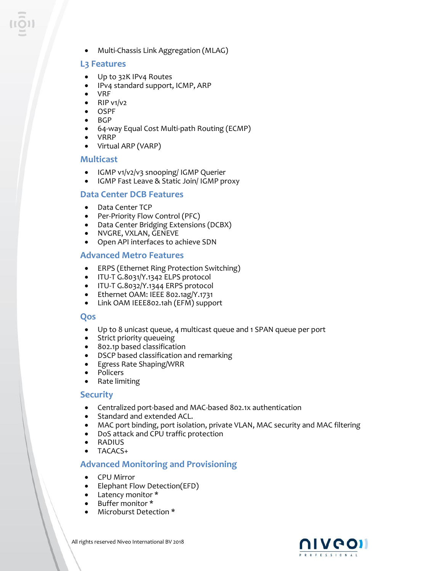• Multi-Chassis Link Aggregation (MLAG)

#### **L3 Features**

- Up to 32K IPv4 Routes
- IPv4 standard support, ICMP, ARP
- VRF
- $\bullet$  RIP v1/v2
- OSPF
- BGP
- 64-way Equal Cost Multi-path Routing (ECMP)
- VRRP
- Virtual ARP (VARP)

#### **Multicast**

- IGMP v1/v2/v3 snooping/ IGMP Querier
- IGMP Fast Leave & Static Join/ IGMP proxy

#### **Data Center DCB Features**

- Data Center TCP
- Per-Priority Flow Control (PFC)
- Data Center Bridging Extensions (DCBX)
- NVGRE, VXLAN, GENEVE
- Open API interfaces to achieve SDN

#### **Advanced Metro Features**

- ERPS (Ethernet Ring Protection Switching)
- ITU-T G.8031/Y.1342 ELPS protocol
- ITU-T G.8032/Y.1344 ERPS protocol
- Ethernet OAM: IEEE 802.1ag/Y.1731
- Link OAM IEEE802.1ah (EFM) support

#### **Qos**

- Up to 8 unicast queue, 4 multicast queue and 1 SPAN queue per port
- Strict priority queueing
- 802.1p based classification
- DSCP based classification and remarking
- Egress Rate Shaping/WRR
- Policers
- Rate limiting

#### **Security**

- Centralized port-based and MAC-based 802.1x authentication
- Standard and extended ACL.
- MAC port binding, port isolation, private VLAN, MAC security and MAC filtering
- DoS attack and CPU traffic protection
- RADIUS
- TACACS+

#### **Advanced Monitoring and Provisioning**

- CPU Mirror
- Elephant Flow Detection(EFD)
- Latency monitor \*
- Buffer monitor \*
- Microburst Detection \*